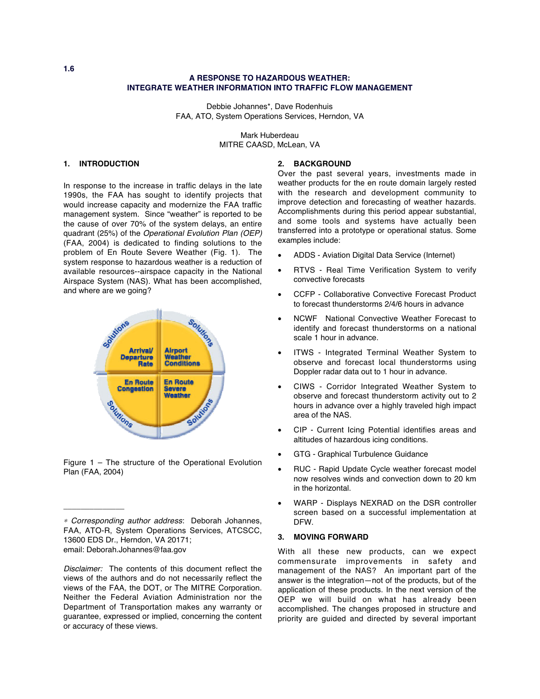# **A RESPONSE TO HAZARDOUS WEATHER: INTEGRATE WEATHER INFORMATION INTO TRAFFIC FLOW MANAGEMENT**

Debbie Johannes\*, Dave Rodenhuis FAA, ATO, System Operations Services, Herndon, VA

> Mark Huberdeau MITRE CAASD, McLean, VA

# **1. INTRODUCTION**

In response to the increase in traffic delays in the late 1990s, the FAA has sought to identify projects that would increase capacity and modernize the FAA traffic management system. Since "weather" is reported to be the cause of over 70% of the system delays, an entire quadrant (25%) of the Operational Evolution Plan (OEP) (FAA, 2004) is dedicated to finding solutions to the problem of En Route Severe Weather (Fig. 1). The system response to hazardous weather is a reduction of available resources--airspace capacity in the National Airspace System (NAS). What has been accomplished, and where are we going?



Figure 1 – The structure of the Operational Evolution Plan (FAA, 2004)

\_\_\_\_\_\_\_\_\_\_\_\_\_\_

### **2. BACKGROUND**

Over the past several years, investments made in weather products for the en route domain largely rested with the research and development community to improve detection and forecasting of weather hazards. Accomplishments during this period appear substantial, and some tools and systems have actually been transferred into a prototype or operational status. Some examples include:

- ADDS Aviation Digital Data Service (Internet)
- RTVS Real Time Verification System to verify convective forecasts
- CCFP Collaborative Convective Forecast Product to forecast thunderstorms 2/4/6 hours in advance
- NCWF National Convective Weather Forecast to identify and forecast thunderstorms on a national scale 1 hour in advance.
- ITWS Integrated Terminal Weather System to observe and forecast local thunderstorms using Doppler radar data out to 1 hour in advance.
- CIWS Corridor Integrated Weather System to observe and forecast thunderstorm activity out to 2 hours in advance over a highly traveled high impact area of the NAS.
- CIP Current Icing Potential identifies areas and altitudes of hazardous icing conditions.
- GTG Graphical Turbulence Guidance
- RUC Rapid Update Cycle weather forecast model now resolves winds and convection down to 20 km in the horizontal.
- WARP Displays NEXRAD on the DSR controller screen based on a successful implementation at DFW.

### **3. MOVING FORWARD**

With all these new products, can we expect commensurate improvements in safety and management of the NAS? An important part of the answer is the integration—not of the products, but of the application of these products. In the next version of the OEP we will build on what has already been accomplished. The changes proposed in structure and priority are guided and directed by several important

**1.6**

<sup>∗</sup> Corresponding author address: Deborah Johannes, FAA, ATO-R, System Operations Services, ATCSCC, 13600 EDS Dr., Herndon, VA 20171; email: Deborah.Johannes@faa.gov

Disclaimer: The contents of this document reflect the views of the authors and do not necessarily reflect the views of the FAA, the DOT, or The MITRE Corporation. Neither the Federal Aviation Administration nor the Department of Transportation makes any warranty or guarantee, expressed or implied, concerning the content or accuracy of these views.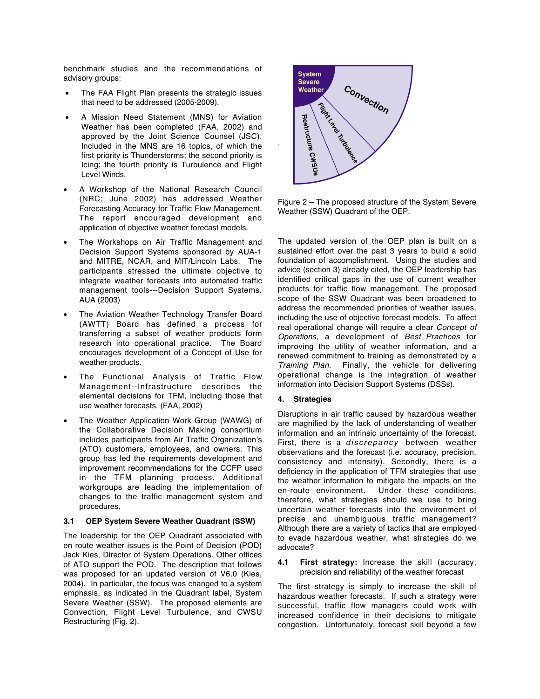benchmark studies and the recommendations of advisory groups:

- The FAA Flight Plan presents the strategic issues that need to be addressed (2005-2009).
- A Mission Need Statement (MNS) for Aviation Weather has been completed (FAA, 2002) and approved by the Joint Science Counsel (JSC). Included in the MNS are 16 topics, of which the first priority is Thunderstorms; the second priority is Icing; the fourth priority is Turbulence and Flight Level Winds.
- A Workshop of the National Research Council (NRC; June 2002) has addressed Weather Forecasting Accuracy for Traffic Flow Management. The report encouraged development and application of objective weather forecast models.
- The Workshops on Air Traffic Management and Decision Support Systems sponsored by AUA-1 and MITRE, NCAR, and MIT/Lincoln Labs. The participants stressed the ultimate objective to integrate weather forecasts into automated traffic management tools---Decision Support Systems. AUA (2003)
- The Aviation Weather Technology Transfer Board (AWTT) Board has defined a process for transferring a subset of weather products form research into operational practice. The Board encourages development of a Concept of Use for weather products.
- The Functional Analysis of Traffic Flow Management--Infrastructure describes the elemental decisions for TFM, including those that use weather forecasts. (FAA, 2002)
- The Weather Application Work Group (WAWG) of the Collaborative Decision Making consortium includes participants from Air Traffic Organization's (ATO) customers, employees, and owners. This group has led the requirements development and improvement recommendations for the CCFP used in the TFM planning process. Additional workgroups are leading the implementation of changes to the traffic management system and procedures.

# **3.1 OEP System Severe Weather Quadrant (SSW)**

The leadership for the OEP Quadrant associated with en route weather issues is the Point of Decision (POD) Jack Kies, Director of System Operations. Other offices of ATO support the POD. The description that follows was proposed for an updated version of V6.0 (Kies, 2004). In particular, the focus was changed to a system emphasis, as indicated in the Quadrant label, System Severe Weather (SSW). The proposed elements are Convection, Flight Level Turbulence, and CWSU Restructuring (Fig. 2).



Figure 2 – The proposed structure of the System Severe Weather (SSW) Quadrant of the OEP.

The updated version of the OEP plan is built on a sustained effort over the past 3 years to build a solid foundation of accomplishment. Using the studies and advice (section 3) already cited, the OEP leadership has identified critical gaps in the use of current weather products for traffic flow management. The proposed scope of the SSW Quadrant was been broadened to address the recommended priorities of weather issues, including the use of objective forecast models. To affect real operational change will require a clear Concept of Operations, a development of Best Practices for improving the utility of weather information, and a renewed commitment to training as demonstrated by a Training Plan. Finally, the vehicle for delivering operational change is the integration of weather information into Decision Support Systems (DSSs).

#### **4. Strategies**

.

Disruptions in air traffic caused by hazardous weather are magnified by the lack of understanding of weather information and an intrinsic uncertainty of the forecast. First, there is a discrepancy between weather observations and the forecast (i.e. accuracy, precision, consistency and intensity). Secondly, there is a deficiency in the application of TFM strategies that use the weather information to mitigate the impacts on the en-route environment. Under these conditions, Under these conditions, therefore, what strategies should we use to bring uncertain weather forecasts into the environment of precise and unambiguous traffic management? Although there are a variety of tactics that are employed to evade hazardous weather, what strategies do we advocate?

## **4.1 First strategy:** Increase the skill (accuracy, precision and reliability) of the weather forecast

The first strategy is simply to increase the skill of hazardous weather forecasts. If such a strategy were successful, traffic flow managers could work with increased confidence in their decisions to mitigate congestion. Unfortunately, forecast skill beyond a few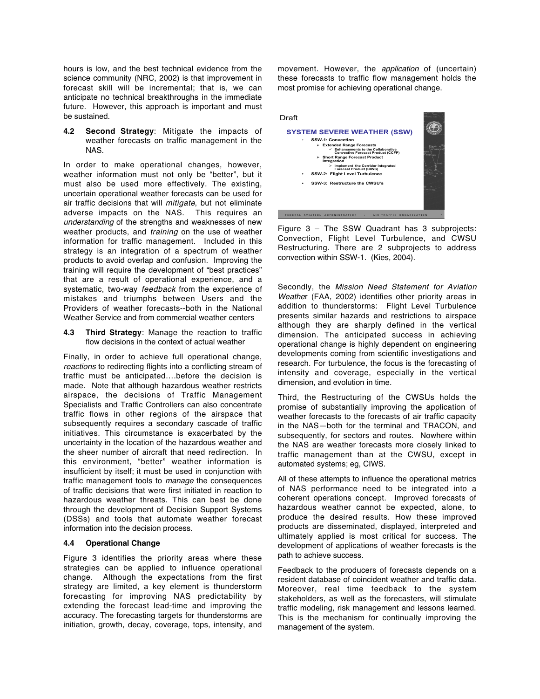hours is low, and the best technical evidence from the science community (NRC, 2002) is that improvement in forecast skill will be incremental; that is, we can anticipate no technical breakthroughs in the immediate future. However, this approach is important and must be sustained.

**4.2 Second Strategy**: Mitigate the impacts of weather forecasts on traffic management in the NAS.

In order to make operational changes, however, weather information must not only be "better", but it must also be used more effectively. The existing, uncertain operational weather forecasts can be used for air traffic decisions that will mitigate, but not eliminate adverse impacts on the NAS. This requires an understanding of the strengths and weaknesses of new weather products, and training on the use of weather information for traffic management. Included in this strategy is an integration of a spectrum of weather products to avoid overlap and confusion. Improving the training will require the development of "best practices" that are a result of operational experience, and a systematic, two-way feedback from the experience of mistakes and triumphs between Users and the Providers of weather forecasts--both in the National Weather Service and from commercial weather centers

**4.3 Third Strategy**: Manage the reaction to traffic flow decisions in the context of actual weather

Finally, in order to achieve full operational change, reactions to redirecting flights into a conflicting stream of traffic must be anticipated….before the decision is made. Note that although hazardous weather restricts airspace, the decisions of Traffic Management Specialists and Traffic Controllers can also concentrate traffic flows in other regions of the airspace that subsequently requires a secondary cascade of traffic initiatives. This circumstance is exacerbated by the uncertainty in the location of the hazardous weather and the sheer number of aircraft that need redirection. In this environment, "better" weather information is insufficient by itself; it must be used in conjunction with traffic management tools to manage the consequences of traffic decisions that were first initiated in reaction to hazardous weather threats. This can best be done through the development of Decision Support Systems (DSSs) and tools that automate weather forecast information into the decision process.

# **4.4 Operational Change**

Figure 3 identifies the priority areas where these strategies can be applied to influence operational change. Although the expectations from the first strategy are limited, a key element is thunderstorm forecasting for improving NAS predictability by extending the forecast lead-time and improving the accuracy. The forecasting targets for thunderstorms are initiation, growth, decay, coverage, tops, intensity, and

movement. However, the application of (uncertain) these forecasts to traffic flow management holds the most promise for achieving operational change.



Figure 3 – The SSW Quadrant has 3 subprojects: Convection, Flight Level Turbulence, and CWSU Restructuring. There are 2 subprojects to address convection within SSW-1. (Kies, 2004).

Secondly, the Mission Need Statement for Aviation Weather (FAA, 2002) identifies other priority areas in addition to thunderstorms: Flight Level Turbulence presents similar hazards and restrictions to airspace although they are sharply defined in the vertical dimension. The anticipated success in achieving operational change is highly dependent on engineering developments coming from scientific investigations and research. For turbulence, the focus is the forecasting of intensity and coverage, especially in the vertical dimension, and evolution in time.

Third, the Restructuring of the CWSUs holds the promise of substantially improving the application of weather forecasts to the forecasts of air traffic capacity in the NAS—both for the terminal and TRACON, and subsequently, for sectors and routes. Nowhere within the NAS are weather forecasts more closely linked to traffic management than at the CWSU, except in automated systems; eg, CIWS.

All of these attempts to influence the operational metrics of NAS performance need to be integrated into a coherent operations concept. Improved forecasts of hazardous weather cannot be expected, alone, to produce the desired results. How these improved products are disseminated, displayed, interpreted and ultimately applied is most critical for success. The development of applications of weather forecasts is the path to achieve success.

Feedback to the producers of forecasts depends on a resident database of coincident weather and traffic data. Moreover, real time feedback to the system stakeholders, as well as the forecasters, will stimulate traffic modeling, risk management and lessons learned. This is the mechanism for continually improving the management of the system.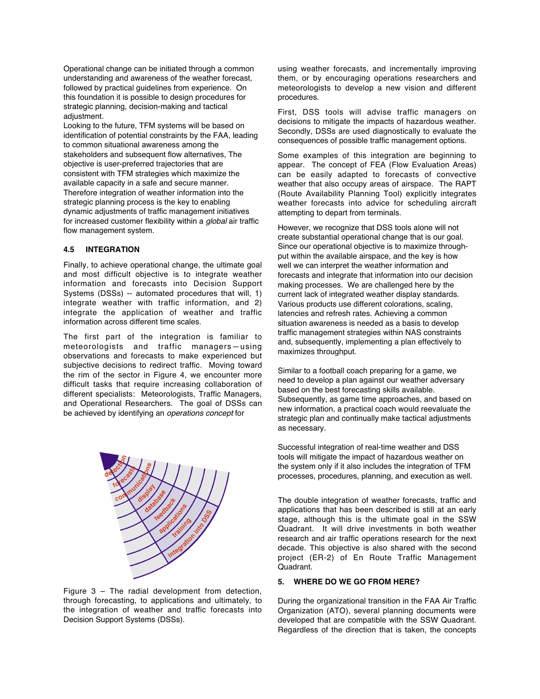Operational change can be initiated through a common understanding and awareness of the weather forecast, followed by practical guidelines from experience. On this foundation it is possible to design procedures for strategic planning, decision-making and tactical adjustment.

Looking to the future, TFM systems will be based on identification of potential constraints by the FAA, leading to common situational awareness among the stakeholders and subsequent flow alternatives, The objective is user-preferred trajectories that are consistent with TFM strategies which maximize the available capacity in a safe and secure manner. Therefore integration of weather information into the strategic planning process is the key to enabling dynamic adjustments of traffic management initiatives for increased customer flexibility within a *global* air traffic flow management system.

#### **4.5 INTEGRATION**

Finally, to achieve operational change, the ultimate goal and most difficult objective is to integrate weather information and forecasts into Decision Support Systems (DSSs) -- automated procedures that will, 1) integrate weather with traffic information, and 2) integrate the application of weather and traffic information across different time scales.

The first part of the integration is familiar to meteorologists and traffic managers—using observations and forecasts to make experienced but subjective decisions to redirect traffic. Moving toward the rim of the sector in Figure 4, we encounter more difficult tasks that require increasing collaboration of different specialists: Meteorologists, Traffic Managers, and Operational Researchers. The goal of DSSs can be achieved by identifying an operations concept for



Figure  $3$  – The radial development from detection, through forecasting, to applications and ultimately, to the integration of weather and traffic forecasts into Decision Support Systems (DSSs).

using weather forecasts, and incrementally improving them, or by encouraging operations researchers and meteorologists to develop a new vision and different procedures.

First, DSS tools will advise traffic managers on decisions to mitigate the impacts of hazardous weather. Secondly, DSSs are used diagnostically to evaluate the consequences of possible traffic management options.

Some examples of this integration are beginning to appear. The concept of FEA (Flow Evaluation Areas) can be easily adapted to forecasts of convective weather that also occupy areas of airspace. The RAPT (Route Availability Planning Tool) explicitly integrates weather forecasts into advice for scheduling aircraft attempting to depart from terminals.

However, we recognize that DSS tools alone will not create substantial operational change that is our goal. Since our operational objective is to maximize throughput within the available airspace, and the key is how well we can interpret the weather information and forecasts and integrate that information into our decision making processes. We are challenged here by the current lack of integrated weather display standards. Various products use different colorations, scaling, latencies and refresh rates. Achieving a common situation awareness is needed as a basis to develop traffic management strategies within NAS constraints and, subsequently, implementing a plan effectively to maximizes throughput.

Similar to a football coach preparing for a game, we need to develop a plan against our weather adversary based on the best forecasting skills available. Subsequently, as game time approaches, and based on new information, a practical coach would reevaluate the strategic plan and continually make tactical adjustments as necessary.

Successful integration of real-time weather and DSS tools will mitigate the impact of hazardous weather on the system only if it also includes the integration of TFM processes, procedures, planning, and execution as well.

The double integration of weather forecasts, traffic and applications that has been described is still at an early stage, although this is the ultimate goal in the SSW Quadrant. It will drive investments in both weather research and air traffic operations research for the next decade. This objective is also shared with the second project (ER-2) of En Route Traffic Management Quadrant.

# **5. WHERE DO WE GO FROM HERE?**

During the organizational transition in the FAA Air Traffic Organization (ATO), several planning documents were developed that are compatible with the SSW Quadrant. Regardless of the direction that is taken, the concepts